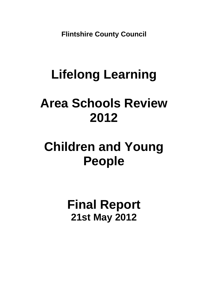**Flintshire County Council** 

# **Lifelong Learning**

## **Area Schools Review 2012**

### **Children and Young People**

**Final Report 21st May 2012**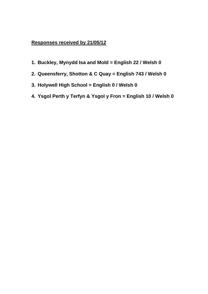### **Responses received by 21/05/12**

- **1. Buckley, Mynydd Isa and Mold = English 22 / Welsh 0**
- **2. Queensferry, Shotton & C Quay = English 743 / Welsh 0**
- **3. Holywell High School = English 0 / Welsh 0**
- **4. Ysgol Perth y Terfyn & Ysgol y Fron = English 10 / Welsh 0**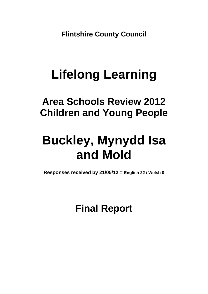**Flintshire County Council** 

## **Lifelong Learning**

### **Area Schools Review 2012 Children and Young People**

## **Buckley, Mynydd Isa and Mold**

**Responses received by 21/05/12 = English 22 / Welsh 0**

**Final Report**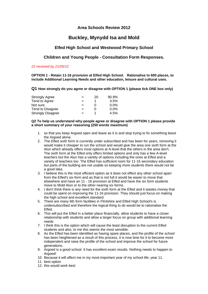#### **Area Schools Review 2012**

### **Buckley, Mynydd Isa and Mold**

#### **Elfed High School and Westwood Primary School**

#### **Children and Young People - Consultation Form Responses.**

#### *22 received by 21/05/12*

**OPTION 1 - Retain 11-16 provision at Elfed High School. Rationalise to 600 places, to include Additional Learning Needs and other education, leisure and cultural uses.** 

**Q1 How strongly do you agree or disagree with OPTION 1 (please tick ONE box only)** 

| <b>Strongly Agree</b>    | $=$ | 20 | $90.9\%$ |
|--------------------------|-----|----|----------|
| Tend to Agree            | $=$ |    | 4.5%     |
| Not sure                 | $=$ |    | $0.0\%$  |
| Tend to Disagree         | $=$ |    | $0.0\%$  |
| <b>Strongly Disagree</b> | $=$ |    | 4.5%     |

#### **Q2 To help us understand why people agree or disagree with OPTION 1 please provide a short summary of your reasoning (250 words maximum)**

- 1. so that you keep Argoed open and leave as it is and stop trying to fix something leave the Argoed alone.
- 2. The Elfed sixth form is currently under subscribed and has been for years, removing it would make it cheaper to run the school and would give the area one sixth form at the Alun which already offers most options at A-level that the others in the area don't. The sixth form at the Elfed only offers limited options and only has a few A-level teachers but the Alun has a variety of options including the ones at Elfed and a variety of teachers too. The Elfed has sufficient room for 11-16 secondary education but parts of the building are not usable so keeping more students there would not be a good idea.
- 3. I believe this is the most efficient option as it does not effect any other school apart from the Elfed's six form and as that is not full it would be easier to move that elsewhere and have an 11 - 16 provision at Elfed and have the six form students move to Mold Alun or to the other nearing six forms.
- 4. I don't think there is any need for the sixth form at the Elfed and it wastes money that could be spent on improving the 11-16 provision. They should just focus on making the high school and excellent standard
- 5. There are many 6th form facilities in Flintshire and Elfed High School's is undersubscribed and therefore the logical thing to do would be to rationalise the **Elfed.**
- 6. This will put the Elfed in a better place financially, allow students to have a closer relationship with students and allow a larger focus on group with additional learning needs
- 7. I think this is the option which will cause the least disruption to the current Elfed students and also, to me this seems the most sensible.
- 8. As the Elfed has been identified as having spare places, and the profile of the school has been heightened as a result of this process, it is now time for it to become more independent and raise the profile of the school and improve the school for future generations.
- 9. Argoed is a good school. It has excellent exam results. Nothing needs to happen to Argoed!
- 10. Because it will affect me in my most important year of my school life; year 11.
- 11. best option
- 12. this would work best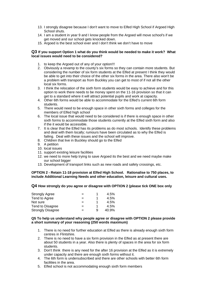- 13. I strongly disagree because I don't want to move to Elfed High School if Argoed High School shuts.
- 14. I am a student in year 9 and I know people from the Argoed will move school's if we get moved and our school gets knocked down.
- 15. Argoed is the best school ever and I don't think we don't have to move

#### **Q3 If you support Option 1 what do you think would be needed to make it work? What local issues would need to be considered?**

- 1. to keep the Argoed out of any of your option!!!
- 2. Obviously a revamp to the county's six forms so they can contain more students. But considering the number of six form students at the Elfed at present I think they would be able to get into their choice of the other six forms in the area. There also won't be a problem with transport as from Buckley you can get to most of if not all the other local six forms.
- 3. I think the relocation of the sixth form students would be easy to achieve and for this option to work there needs to be money spent on the 11-16 provision so that it can get to a standard where it will attract potential pupils and work at capacity.
- 4. Other 6th forms would be able to accommodate for the Elfed's current 6th form students.
- 5. There would need to be enough space in other sixth forms and colleges for the members of Elfed high school
- 6. The local issue that would need to be considered is if there is enough space in other sixth forms to accommodate those students currently at the Elfed sixth form and also if the it would be accessible.
- 7. It is clear that the Elfed has its problems as do most schools. Identify these problems and deal with them locally; rumours have been circulated as to why the Elfed is failing. Deal with these issues and the school will improve.
- 8. Children that live in Buckley should go to the Elfed
- 9. A petition
- 10. local issues
- 11. support existing leisure facilities
- 12. we need to more help trying to save Argoed its the best and we need maybe make our school bigger
- 13. Development of transport links such as new roads and safety crossings, etc.

#### **OPTION 2 - Retain 11-18 provision at Elfed High School. Rationalise to 750 places, to include Additional Learning Needs and other education, leisure and cultural uses.**

#### **Q4 How strongly do you agree or disagree with OPTION 2 (please tick ONE box only**

| <b>Strongly Agree</b>    | $=$ |   | 4.5%  |
|--------------------------|-----|---|-------|
| Tend to Agree            | $=$ |   | 4.5%  |
| Not sure                 |     |   | 4.5%  |
| Tend to Disagree         | $=$ |   | 4.5%  |
| <b>Strongly Disagree</b> | $=$ | 9 | 40.9% |

#### **Q5 To help us understand why people agree or disagree with OPTION 2 please provide a short summary of your reasoning (250 words maximum)**

- 1. There is no need for further education at Elfed as there is already enough sixth form centres in Flintshire.
- 2. There is no need to have a six form provision in the Elfed as at present there are about 50 students in a year. Also there is plenty of spaces in the area for six form students.
- 3. Don't think there is any need for the after 16 provision at the Elfed as it is extremely under capacity and there are enough sixth forms without it.
- 4. The 6th form is undersubscribed and there are other schools with better 6th form facilities in the area.
- 5. Elfed school is not accommodating enough sixth form members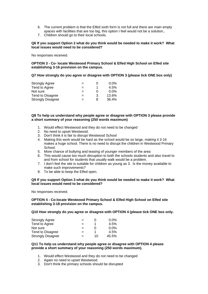- 6. The current problem is that the Elfed sixth form is not full and there are main empty spaces with facilities that are too big, this option I feel would not be a solution,.
- 7. Children should go to their local schools.

#### **Q6 If you support Option 2 what do you think would be needed to make it work? What local issues would need to be considered?**

No responses received.

**OPTION 3 - Co- locate Westwood Primary School & Elfed High School on Elfed site establishing 3-16 provision on the campus.** 

**Q7 How strongly do you agree or disagree with OPTION 3 (please tick ONE box only)** 

| <b>Strongly Agree</b>    | $=$ |   | $0.0\%$ |
|--------------------------|-----|---|---------|
| Tend to Agree            | $=$ | 1 | 4.5%    |
| Not sure                 | $=$ | O | $0.0\%$ |
| Tend to Disagree         | $=$ | 3 | 13.6%   |
| <b>Strongly Disagree</b> | $=$ | 8 | 36.4%   |

#### **Q8 To help us understand why people agree or disagree with OPTION 3 please provide a short summary of your reasoning (250 words maximum)**

- 1. Would effect Westwood and they do not need to be changed
- 2. No need to upset Westwood.
- 3. Don't think it is fair to disrupt Westwood School
- 4. Making this work would be hard as the school would be so large, making it 3-16 makes a huge school. There is no need to disrupt the children in Westwood Primary School.
- 5. More chance of bullying and teasing of younger members of the area
- 6. This would cause too much disruption to both the schools students and also travel to and from school for students that usually walk would be a problem.
- 7. I don't feel the site is suitable for children as young as 3. Is the money available to make such improvements?
- 8. To be able to keep the Elfed open.

#### **Q9 If you support Option 3 what do you think would be needed to make it work? What local issues would need to be considered?**

No responses received.

**OPTION 4 - Co-locate Westwood Primary School & Elfed High School on Elfed site establishing 3-18 provision on the campus.** 

**Q10 How strongly do you agree or disagree with OPTION 4 (please tick ONE box only.** 

| <b>Strongly Agree</b>    | $=$ |    | $0.0\%$ |
|--------------------------|-----|----|---------|
| Tend to Agree            | $=$ | 1  | 4.5%    |
| Not sure                 | $=$ |    | $0.0\%$ |
| Tend to Disagree         | $=$ |    | 4.5%    |
| <b>Strongly Disagree</b> | $=$ | 10 | 45.5%   |

#### **Q11 To help us understand why people agree or disagree with OPTION 4 please provide a short summary of your reasoning (250 words maximum).**

- 1. Would effect Westwood and they do not need to be changed
- 2. Again no need to upset Westwood.
- 3. Don't think the primary schools should be disrupted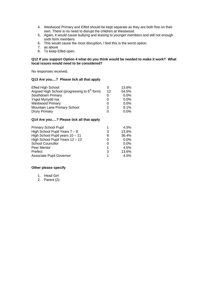- 4. Westwood Primary and Elfed should be kept separate as they are both fine on their own. There is no need to disrupt the children at Westwood.
- 5. Again, it would cause bullying and teasing to younger members and still not enough sixth form members
- 6. This would cause the most disruption, I feel this is the worst option.
- 7. as above
- 8. To keep Elfed open.

#### **Q12 If you support Option 4 what do you think would be needed to make it work? What local issues would need to be considered?**

No responses received.

#### **Q13 Are you....? Please tick all that apply**

| Elfed High School                                        | 3  | 13.6%   |
|----------------------------------------------------------|----|---------|
| Argoed High School (progressing to 6 <sup>th</sup> form) | 12 | 54.5%   |
| Southdown Primary                                        |    | $0.0\%$ |
| Ysgol Mynydd Isa                                         | O  | $0.0\%$ |
| <b>Westwood Primary</b>                                  | 0  | $0.0\%$ |
| Mountain Lane Primary School                             | 2  | $9.1\%$ |
| <b>Drury Primary</b>                                     | 0  | $0.0\%$ |

#### **Q14 Are you….? Please tick all that apply**

| <b>Primary School Pupil</b>     |   | 4.5%    |
|---------------------------------|---|---------|
| High School Pupil Years $7 - 9$ | 3 | 13.6%   |
| High School Pupil years 10 - 11 | 8 | 36.4%   |
| High School Pupil Years 12 - 13 | O | $0.0\%$ |
| <b>School Councillor</b>        | 0 | $0.0\%$ |
| Peer Mentor                     | 1 | $4.5\%$ |
| Prefect                         | 3 | 13.6%   |
| Associate Pupil Governor        | 1 | 4.5%    |

#### **Other please specify**

- 1. Head Girl
- 2. Parent (2)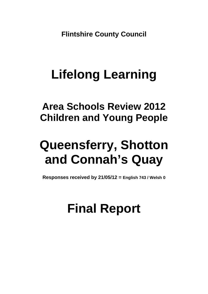**Flintshire County Council** 

# **Lifelong Learning**

**Area Schools Review 2012 Children and Young People** 

## **Queensferry, Shotton and Connah's Quay**

**Responses received by 21/05/12 = English 743 / Welsh 0**

### **Final Report**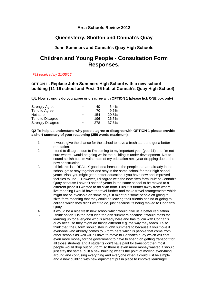#### **Area Schools Review 2012**

### **Queensferry, Shotton and Connah's Quay**

#### **John Summers and Connah's Quay High Schools**

### **Children and Young People - Consultation Form Responses.**

#### *743 received by 21/05/12*

#### **OPTION 1 - Replace John Summers High School with a new school building (11-16 school and Post- 16 hub at Connah's Quay High School)**

**Q1 How strongly do you agree or disagree with OPTION 1 (please tick ONE box only)** 

| <b>Strongly Agree</b>    | $=$ | 40  | 5.4%  |
|--------------------------|-----|-----|-------|
| Tend to Agree            | $=$ | 70  | 9.5%  |
| Not sure                 | $=$ | 154 | 20.8% |
| Tend to Disagree         | $=$ | 196 | 26.5% |
| <b>Strongly Disagree</b> | $=$ | 278 | 37.6% |

#### **Q2 To help us understand why people agree or disagree with OPTION 1 please provide a short summary of your reasoning (250 words maximum).**

- 1. It would give the chance for the school to have a fresh start and get a better reputation.
- 2. I tend to disagree due to I'm coming to my important year (year11) and I'm not sure where I would be going whilst the building is under development. Not to sound selfish but I'm vulnerable of my education next year dropping due to the new construction.
- 3. I think this is a REALLY good idea because the people that are already in the school get to stay together and stay in the same school for their high school years. Also, you might get a better education if you have new and improved facilities to use. However, I disagree with the new sixth form 'hub' at Connah's Quay because I haven't spent 5 years in the same school to be moved to a different place if I wanted to do sixth form. Plus it is further away from where I live meaning I would have to travel further and make travel arrangements which might not be available on some days. It might put some people off going to sixth form meaning that they could be leaving their friends behind or going to college which they didn't want to do, just because its being moved to Connah's Quay.
- 4. it would be a nice fresh new school which would give us a better reputation 5. I think option 1 is the best idea for john summers because it would mess the learning up for everyone who is already here and has to join with Connah's quay because they might do things different e.g. the way they teach. I also think that the 6 form should stay in john summers to because if you move it everyone who already comes to 6 form here which is people that come from other schools as well will all have to move to Connah's quay which will cost even more money for the government to have to spend on getting transport for all those students and if students don't have paid for transport then most people would drop out of 6 form so there is even more money wasted it should just stay the same built a new building what's the point of moving everything around and confusing everything and everyone when it could just be simple and a new building with new equipment put in place to improve learning!!!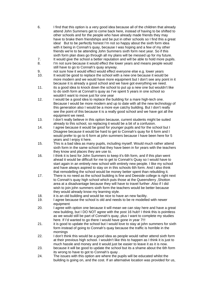- 6. I find that this option is a very good idea because all of the children that already attend John Summers get to come back here, instead of having to be shifted to other schools and for the people who have already made friends they may have to brake them friendships and be put in other schools so I find this a great idea! But to be perfectly honest I'm not so happy about the sixth form idea with it being in Connah's quay, because I was hoping and a few of my other friends we're to be attending John Summers sixth form next year. So if this sixth form plan does go through all my plans will be messed up for my future.
- 
- 7. It would give the school a better reputation and will be able to hold more pupils.<br>8. I'm not sure because it would effect the lower vears and means people would I'm not sure because it would effect the lower years and means people would still have to go to Connah's quay anyway.
- 9. not sure how it would effect would effect everyone else e.g. lower years
- 10. It would be good to replace the school with a new one because it would be more modern and we would have more equipment but I don't see any point in it because it is already a good school and we have got everything we need.
- 11. its a good idea to knock down the school to put up a new one but wouldn't like to do sixth form at Connah's quay as I've spent 5 years in one school so wouldn't want to move just for one year
- 12. I would be a good idea to replace the building for a mare high-tech one. Because I would be more modern and up to date with all the new technology of this generation also I would be a more eye catchy building. But I don't really see the point of this because it is a really good school and we have got all the equipment we need.
- 13. I don't really believe in this option because, current students might be suited already to this school, so replacing it would be a bit of a confusion.
- 14. I agree because it would be good for younger pupils and for the school but I Disagree because it would be hard to get to Connah's quay for 6 form and I would prefer to go to 6 form at john summers because I have been here for 5 years and I enjoy it here.
- 15. This is a bad idea as many pupils, including myself. Would much rather attend sixth form in the same school that they have been in for years with the teachers they know and places they are use to.
- 16. I think it is best for John Summers to keep it's 6th form, and if this plan went ahead it would be difficult for me to get to Connah's Quay so I would have to start again in an entirely new school with entirely new people. I like my school and have always aspired to stay on in this schools 6th form. And I also think that remodelling the school would be money better spent than rebuilding it.
- 17. There is no need as the school building is fine and Deeside college is right next to Connah's quay high school which puts those at the Queensferry ,Shotton area at a disadvantage because they will have to travel further .Also if I did wish to join john summers sixth form the teachers would be better because they would already know my learning style.
- 18. it is an old building and would be nice to have an new facility.
- 19. I agree because the school is old and needs to be re modelled with newer equipment
- 20. I agree with option one because it will mean we can stay here and have a great new building, but I DO NOT agree with the post 16 hub!! I think this is pointless as we would still be part of Connah's quay, plus I want to complete my studies here. If I'd wanted to go there I would have gone in year 7!!!
- 21. it is good to update the school but I would love to stay at john summers for sixth form instead of going to Connah's quay because the traffic is horrible in the mornings
- 22. I don't think this would be a good idea as people would rather attend sixth form at their previous high school. I wouldn't like this to happen as I think it is just to much hassle and money and it would just be easier to leave it as it is now.
- 23. because it will be good to update the school but its a shame about the 6th form its wrong to have to got to Connah's quay .
- 24. The issues with this option are where the pupils will be educated whilst the building is going on, and the cost. If an alternative location was provided for us,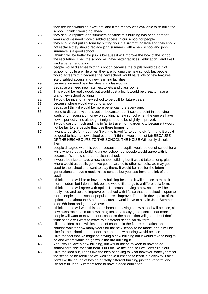then the idea would be excellent, and if the money was available to re-build the school, I think it would go ahead.

- 25. they should replace john summers because this building has been here for years and we need more disabled access in our school for people .
- 26. they should not put six form by putting you in a six form college and they should not replace they should replace john summers with a new school and john summers is a good school
- 27. I think it will be better for pupils because it will improve the look of the school, the reputation. Then the school will have better facilities , education , and like I said a better reputation .
- 28. people would disagree with this option because the pupils would be out of school for quite a while when they are building the new school, but people would agree with it because the new school would have lots of new features like disabled access and new learning facilities.
- 29. because we need new facilities and classrooms.
- 30. Because we need new facilities, toilets and classrooms.
- 31. This would be really good, but would cost a lot. It would be great to have a brand new school building.
- 32. it would be nice for a new school to be built for future years.
- 33. because where would we go to school
- 34. Because I think it would be more beneficial fore every one.
- 35. I tend to disagree with this option because I don't see the point in spending loads of unnecessary money on building a new school when the one we have now is perfectly fine although it might need to be slightly improved.
- 36. it would cost to much and it is to far to travel from garden city because it would not be fair to the people that lose there homes for it
- 37. I want to do six form but I don't want to travel far to get to six form and it would be good to have a new school but I don't think I would be not fair BECAUSE OF THE NEIGHBOURS TO THE SCHOOL THE NOISE Will surely disturb them
- 38. people disagree with this option because the pupils would be out of school for a while when they are building a new school, but people would agree with it because it's a new smart and clean school.
- 39. It would be nice to have a new school building but it would take to long, plus where would us pupils go! If we got separated to other schools, we may get used to the school and want to stay there. It would be nice for the future generations to have a modernised school, but you also have to think of the cost!
- 40. I think people will like to have new building because it will be nice to make it more modern but I don't think people would like to go to a different six form.
- 41. I think people will agree with option 1 because having a new school will be really nice and able to improve our school with lifts so that our school is open to more people so the school population will improve. The main down point of this option is the about the 6th form because I would love to stay in John Summers to do 6th form and get my A levels.
- 42. I think people will want this option because having a new school will be nice, all new class rooms and all news thing inside, a really good point is that more people will want to move to our school so the population will go up, but I don't think people will want to move to a different school for six form.
- 43. I like the idea, but it will lose a lot of children in the future education, and I couldn't wait for how many years for the new school to be made. and it will be nice for the school to be modernise and a new building would be nice.
- 44. I like the fact that we might be having a new building but it would take to long to do and where would be go while the are building it .
- 45. Yes I would love a new building, but would not be to keen to have to go somewhere else for sixth form. But I do like the idea so I wouldn't rule it out.
- 46. I like the idea but, I don't like the idea of having to what however many years for the school to be rebuilt so we won't have a chance to learn in it anyway. I also don't like the sound of having a totally different building just for 6th form, and 6th form in John Summers tend to have a good education.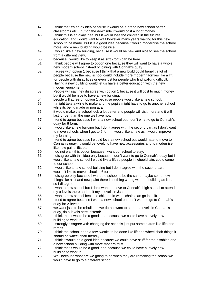- 47. I think that it's an ok idea because it would be a brand new school better classrooms etc... but on the downside it would cost a lot of money.
- 48. I think this is an okay idea, but it would lose the children in the futures education, and I don't want to wait however many years waiting for this new school to be made. But it is a good idea because it would modernise the school more, and a new building would be nice.
- 49. I would like a new building, because it would be new and nice to see the school from a different view,
- 50. because I would like to keep it as sixth form can be here
- 51. I think people will agree to option one because they will want to have a whole new modern school instead of joining with Connah's quay.
- 52. I agree with option 1 because I think that a new build could benefit a lot of people because the new school could include more modern facilities like a lift for people with disabilities or even just for people who find walking difficult. Having a new building would let us have a better education with the new modern equipment.
- 53. People will say they disagree with option 1 because it will cost to much money but it would be nice to have a new building.
- 54. people will agree on option 1 because people would like a new school.
- 55. It might take a while to make and the pupils might have to go to another school while its being made or non at all
- 56. it would make the school look a lot better and people will visit more and it will last longer than the one we have now
- 57. I tend to agree because I what a new school but I don't what to go to Connah's quay for 6 form.
- 58. I would like a new building but I don't agree with the second part as I don't want to move schools when I get to 6 form. I would like a new as it would improve my learning.
- 59. I tend to agree because I would love a new school but would hate to move to Connah's quay. It would be lovely to have new accessories and to modernise like new paint, lifts etc
- 60. I do not want this option because I want our school to stay.
- 61. I disagree with this idea only because I don't want to go to Connah's quay but I would like a new school I would like a lift so people in wheelchairs could come to our school
- 62. I would like a new school building but I don't agree with the second part wouldn't like to move school in 6 form
- 63. I disagree only because I want the school to be the same maybe some new things like a lift and new paint there is nothing wrong with the building as it is. so I disagree
- 64. I want a new school but I don't want to move to Connah's high school to attend my a levels there and do it my a levels in Jshs.
- 65. I want a new school because children in wheelchairs can go in a lift.
- 66. I tend to agree because I want a new school but don't want to go to Connah's quay for A levels
- 67. we want jshs to be rebuilt but we do not want to attend a-levels in Connah's quay, do a-levels here instead!
- 68. I think that it would be a good idea because we could have a lovely new building to work in.
- 69. I strongly disagree with changing the schools just put some extras like lifts and ramps
- 70. I think the school need a few tweaks to be done like lift and wheel chair things it should be wheel chair friendly
- 71. I think it would be a good idea because we could have stuff for the disabled and a new school building with more modern stuff.
- 72. I think that it would be a good idea because we could have a lovely new building to work in.
- 73. Well because what are we going to do when they are remaking the school we would have to go to a different school.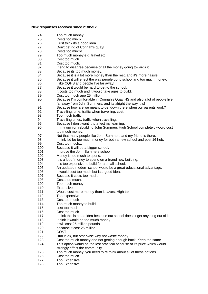#### **New responses received since 21/05/12.**

- 74. Too much money.
- 75. Costs too much.
- 76. I just think its a good idea.
- 77. Don't get rid of Connah's quay!
- 78. Costs too much!
- 79. Too much money e.g. travel etc
- 80. Cost too much.
- 81. Cost too much.
- 82. I tend to disagree because of all the money going towards it!
- 83. Because its too much money.
- 84. Because it is a lot more money than the rest, and it's more hassle.
- 85. Because it will effect the way people go to school and too much money.
- 86. I like CQHS and people live far away!
- 87. Because it would be hard to get to the school.
- 88. It costs too much and it would take ages to build.
- 89. Cost too much app 25 million
- 90. Because I'm comfortable in Connah's Quay HS and also a lot of people live far away from John Summers, and its alright the way it is!
- 91. Because how are we meant to get down there when our parents work?
- 92. Travelling, time, traffic when travelling, cost.
- 93. Too much traffic.
- 94. Travelling times, traffic when travelling.
- 95. Because I don't want it to affect my learning.
- 96. In my opinion rebuilding John Summers High School completely would cost too much money.
- 97. Not that many people like John Summers and my friend is there.<br>98 I think it'd be too much money for both a new school and post 16
- 98. I think it'd be too much money for both a new school and post 16 hub.<br>99 Cost too much
- Cost too much...
- 100. Because it will be a bigger school.
- 101. Improve the John Summers school.
- 102. Money is too much to spend.
- 103. It is a lot of money to spend on a brand new building.
- 104. It is too expensive to build for a small school.
- 105. An updated modern school would be a great educational advantage.
- 106. It would cost too much but is a good idea.
- 107. Because it costs too much.
- 108. Costs too much.
- 109. Too much money.
- 110. Expensive
- 111. Would cost more money than it saves. High tax.
- 112. Too expensive
- 113. Cost too much
- 114. Too much money to build.
- 115. cost too much
- 116. Cost too much.
- 117. I think this is a bad idea because out school doesn't get anything out of it.
- 118. I think it would be too much money.<br>119. It will cost 25 million pounds
- It will cost 25 million pounds
- 120. because it cost 25 million!
- 121. COST
- 122. Hub is ok, but otherwise why not waste money
- 123. Cost too much money and not getting enough back, Keep the same.
- 124. This option would be the lest practical because of its price which would strongly effect the community.
- 125. Too much money. you need to re think about all of these options.
- 126. Cost too much.
- 127. Too Expensive.
- 128. Too Expensive.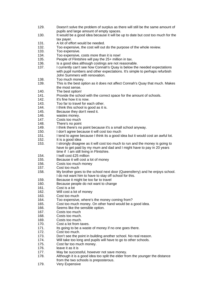- 129. Doesn't solve the problem of surplus as there will still be the same amount of pupils and large amount of empty spaces.
- 130. It would be a good idea because it will be up to date but cost too much for the tax payer.
- 131. A lot of effort would be needed.
- 132. Too expensive, the cost will out do the purpose of the whole review.
- 133. Too expensive.
- 134. Too expensive, costs more than it is now!<br>135 People of Flintshire will pay the 25+ million
- People of Flintshire will pay the 25+ million in tax.
- 136. Is a good idea although costings are not reasonable.
- 137. I currently can't see how Connah's Quay is below the needed expectations with pupil numbers and other expectations. It's simple to perhaps refurbish John Summers with renovation.
- 138. Too much money.
- 139. This is the best option as it does not affect Connah's Quay that much. Makes the most sense.
- 140. The best option!
- 141. Provide the school with the correct space for the amount of schools.
- 142. It's fine how it is now.
- 143. Too far to travel for each other.<br>144. I think this school is good as it is
- I think this school is good as it is.
- 145. Because they don't need it.
- 146. wastes money.
- 147. Costs too much
- 148. There's no point
- 149. I think there's no point because it's a small school anyway.
- 150. I don't agree because it will cost too much
- 151. I tend to agree because I think its a good idea but it would cost an awful lot.
- 152. It is a good idea
- 153. I strongly disagree as it will cost too much to run and the money is going to have to get paid by my mum and dad and I might have to pay in 20 years time if I am still living in Flintshire.
- 154. I twill cost £25 million
- 155. Because it will cost a lot of money
- 156. Costs too much money
- 157. Cost too much
- 158. My brother goes to the school next door (Queensferry) and he enjoys school. I do not want him to have to stay off school for this.
- 159. Because it might be too far to travel
- 160. Because people do not want to change
- 161. Cost is a lot
- 162. Will cost a lot of money
- 163. Cost too much
- 164. Too expensive, where's the money coming from?
- 165. Cost too much money. On other hand would be a good idea.
- 166. Seems like the sensible option.
- 167. Costs too much
- 168. Costs too much.
- 169. Costs too much.
- 170. Cost a lot from taxes.
- 171. Its going to be a waste of money if no one goes there.
- 172. Cost too much.
- 173. Don't see the point in building another school. No real reason.
- 174. Will take too long and pupils will have to go to other schools.
- 175. Cost far too much money.
- 176. leave it as it is
- 177. May be successful, however not save money.
- 178. Although it is a good idea too split the elder from the younger the distance from the two schools is preposterous.
- 179. Very Expensive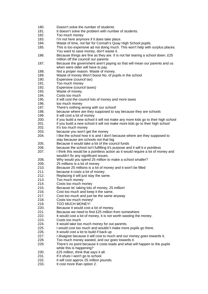- 180. Doesn't solve the number of students
- 181. It doesn't solve the problem with number of students.
- 182. Too much money
- 183. I'm not here anymore if it does take place.
- 184. Waste of time, not fair for Connah's Quay High School pupils.
- 185. This is too expensive ad not doing much. This won't help with surplus places. You want to save money, don't waste it.
- 186. Because things are fine as they are. It is not fair tearing a school down. £25 million off the council/ our parents
- 187. Because the government aren't paying so that will mean our parents and us when were older will have to pay.
- 188. Not a proper reason. Waste of money.
- 189. Waste of money Won't boost No. of pupils in the school
- 190. Expensive (council tax)
- 191. Too much money
- 192. Expensive (council taxes)
- 193. Waste of money.
- 194. Costs too much
- 195. It will cost the council lots of money and more taxes
- 196. too much money
- 197. There's nothing wrong with our school!
- 198. because where are they supposed to say because they are schools
- 199. It will cost a lot of money
- 200. if you build a new school it will not make any more kids go to their high school
- 201. if you build a new school it will not make more kids go to their high school
- 202. It's too much money
- 203. because you won't get the money
- 204. I like the school how it is and I don't because where are they supposed to stay because are schools not that big
- 205. Because it would take a lot of the council funds
- 206. because the school isn't fulfilling it's purpose and it will b e pointless
- 207. I think this would be a pointless action as it would require a lot of money and wouldn't fix any significant issues.
- 208. Why would you spend 25 million to make a school smaller?
- 209. 25 millions is a lot of money
- 210. Because 25 millions is a lot of money and it won't be filled
- 211. because it costs a lot of money.
- 212. Replacing it will just stay the same.
- 213. Too much money
- 214. Costs too much money
- 215. Because its' taking lots of money, 25 million!
- 216. Cost too much and keep it the same.
- 217. Cost too much and just be the same anyway
- 218. Costs too much money!
- 219. TOO MUCH MONEY!
- 220. Because it would cost a lot of money.
- 221. Because we need to find £25 million from somewhere
- 222. It would cost a lot of money, it is not worth wasting the money.
- 223. Costs too much
- 224. It would take too much money for out parents.
- 225. I would cost too much and wouldn't make more pupils go there.
- 226. It would cost a lot to build if back up
- 227. I disagree because it will cost to much and our money goes towards it.
- 228. Too much money wasted, and our goes towards it.
- 229. There's no point because it costs loads and what will happen to the pupils while this is happening?
- 230. £25 million, think that says it all.
- 231. If it shuts I won't go to school.
- 232. It will cost approx 25 million pounds.
- 233. It cost more than option 2.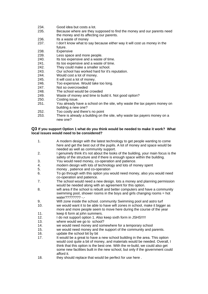- 234. Good idea but costs a lot.
- 235. Because where are they supposed to find the money and our parents need the money and its affecting our parents.
- 236. Its a waste of money
- 237. I don't know what to say because either way it will cost us money in the future.
- 238. Expensive
- 239. Less space and more people.<br>240 lts too expensive and a waste
- Its too expensive and a waste of time.
- 241. Its too expensive and a waste of time.
- 242. They could make a smaller school.
- 243. Our school has worked hard for it's reputation.
- 244. Would cost a lot of money.
- 245. It will cost a lot of money.
- 246. Too expensive. Would take too long.
- 247. Not so overcrowded
- 248. The school would be crowded
- 249. Waste of money and time to build it. Not good option?
- 250. Costing issue.<br>251 You already ha
- You already have a school on the site, why waste the tax payers money on building a new one?
- 252. Too costly and there's no point
- 253. There is already a building on the site, why waste tax payers money on a new one?

#### **Q3 If you support Option 1 what do you think would be needed to make it work? What local issues would need to be considered?**

- 1. A modern design with the latest technology to get people wanting to come here and get the best out of the pupils. A lot of money and space would be needed as well as community support.
- 2. I genuinely think it's not about the looks of the building, your main focus is the safety of the structure and if there is enough space within the building.
- 3. You would need money, co-operation and patience.
- 4. modern design with lots of technology and lots of money spent
- 5. money , patience and co-operation
- 6. To go through with this option you would need money, also you would need co-operation and patience.
- 7. The school would need a new design. lots a money and planning permission would be needed along with an agreement for this option.
- 8. wifi area if the school is rebuilt and better computers and have a community swimming pool, shower rooms in the boys and girls changing rooms = hot water???????? -.-
- 9. Wifi zone inside the school. community Swimming pool and astro turf
- 10. we would want it to be able to have wifi zones in school, make it bigger as more and more people seem to move here during the course of the year 11. keep 6 form at john summers.
- 
- 12. I do not support option 1. Also keep sixth form in JSHS!!!!!
- 13. where would we go to school?
- 14. we would need money and somewhere for a temporary school
- 15. we would need money and the support of the community and parents.
- 16. update the school bit by bit
- 17. It would be a great to have a new school building in the area. This option would cost quite a bit of money, and materials would be needed. Overall, I think that this option is the best one. With the re-build, we could also get some new facilities built in the new school, but only if the government could afford it.
- 18. they should replace that would be perfect for use here.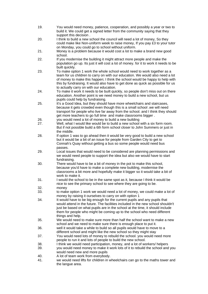- 19. You would need money, patience, cooperation, and possibly a year or two to build it. We could get a signed letter from the community saying that they support this decision .
- 20. I think to build a new school the council will need a lot of money, So they could make like Non-uniform week to raise money, If you pay £3 to your tutor on Monday, you could go to school without uniform.
- 21. Money is a problem because it would cost a lot to make a brand new good school.
- 22. If you modernise the building it might attract more people and make the population go up. Its just it will cost a lot of money. for it to work it needs to be built quickly.
- 23. To make option 1 work the whole school would need to work together as a team for us children to carry on with our education. We would also need a lot of money to make this happen; I think the school would be happy to help with this by fundraising. It would also have to get done as quick as possible for us to actually carry on with our education.
- 24. To make it work it needs to be built quickly, so people don't miss out on there education. Another point is we need money to build a new school, but us pupils could help by fundraising.
- 25. It's a Good Idea, but they should have more wheelchairs and staircases, because it gets crowded even though this is a small school .we will need transport for people who live far away from the school. and I think they should get more teachers to go full time and make classrooms bigger .
- 26. you would need a lot of money to build a new building
- 27. Well, what I would like would be to build a new school with a six form room. But if not possible build a 6th form school closer to John Summers or just in the middle.
- 28. If option 1 was to go ahead then it would be very good to build a new school but it would be a bit of an issue for people from Garden City to get to Connah's Quay without getting a bus so some people would need bus passes.
- 29. Local issues that would need to be considered are planning permissions and we would need people to support the idea but also we would have to start fundraising.
- 30. There would have to be a bit of money in the pot to make this school, because you'd have to make a complete new building, modernise the classrooms a bit more and hopefully make it bigger so it would take a bit of work to make it.
- 31. I would the school to be in the same spot as it, because I think it would be nice to see the primary school to see where they are going to be.
- 32. money
- 33. to make option 1 work we would need a lot of money, we could make a lot of money by raising it ourselves to carry on with option 1
- 34. It would have to be big enough for the current pupils and any pupils that would attend in the future. The facilities included in the new school shouldn't just be based on what pupils are in the school at the time, it should include them for people who might be coming up to the school who need different things and help.
- 35. We would need to make sure more than half the school want to make a new school and we need to make sure there is enough place to put it.
- 36. well it would take a while to build so all pupils would have to move to a different school and might like the new school so they might stay
- 37. You would need lots of money to rebuild the school. you would need more people to run it and lots of people to build the new school.
- 38. I think we would need participation, money, and a lot of workers/ helpers
- 39. you would need money to make it work lots of it to rebuild the school and you would need new and more pupils
- 40. A lot of team work from everybody.
- 41. we would need lifts for children in wheelchairs can go to the maths tower and the langue area.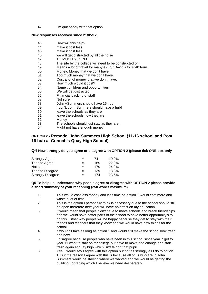42. I'm quit happy with that option

#### **New responses received since 21/05/12.**

- 43. How will this help?
- 44. make it cost less
- 45. make it cost less
- 46. we will get distracted by all the noise
- 47. TO MUCH 6 FORM<br>48 The site by the colle
- The site by the college will need to be constructed on.
- 49. Means a lot of travel for many e.g. St David's for sixth form.
- 50. Money. Money that we don't have.
- 51. Too much money that we don't have.
- 52. Cost a lot of money that we don't have.
- 53. How much would it cost?
- 54. Name , children and opportunities
- 55. We will get distracted
- 56. Financial backing of staff
- 57. Not sure
- 58. John ~Summers should have 16 hub.
- 59. I don't. John Summers should have a hub!
- 60. leave the schools as they are.
- 61. leave the schools how they are
- 62. Money
- 63. The schools should just stay as they are.
- 64. Might not have enough money.

#### **OPTION 2 - Remodel John Summers High School (11-16 school and Post 16 hub at Connah's Quay High School).**

#### **Q4 How strongly do you agree or disagree with OPTION 2 (please tick ONE box only**

| Strongly Agree           | $=$ | 74  | 10.0% |
|--------------------------|-----|-----|-------|
| Tend to Agree            | $=$ | 169 | 22.9% |
| Not sure                 | $=$ | 179 | 24.2% |
| Tend to Disagree         | $=$ | 139 | 18.8% |
| <b>Strongly Disagree</b> | $=$ | 174 | 23.5% |
|                          |     |     |       |

#### **Q5 To help us understand why people agree or disagree with OPTION 2 please provide a short summary of your reasoning (250 words maximum)**

- 1. This would cost less money and less time as option 1 would cost more and waste a lot of time.
- 2. This is the option I personally think is necessary due to the school should still be open therefore next year will have no effect on my education.
- 3. It would mean that people didn't have to move schools and break friendships and we would have better parts of the school to have better opportunity's to do this. Either way people will be happy because they get to stay with their friends and teachers that they know and we would have new things for the school.
- 4. it wouldn't take as long as option 1 and would still make the school look fresh and new
- 5. I disagree because people who have been in this school since year 7 get to year 11 want to stay on for college but have to move and change and start fresh again at quay high which isn't fair on that pupil.
- 6. Yes, I would say I agree with this option but not as strongly as I do to option 1. But the reason I agree with this is because all of us who are in John Summers would be staying where we wanted and we would be getting the building upgrading which I believe we need desperately.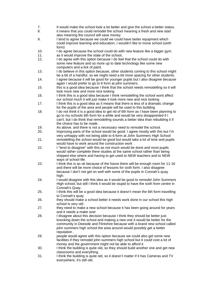- 7. It would make the school look a lot better and give the school a better status.
- 8. it means that you could remodel the school meaning a fresh and new start also meaning the council will save money
- 9. I tend to agree because we could we could have better equipment which could improve learning and education, I wouldn't like to move school (sixth form)
- 10. I do agree because the school could do with new feature like a bigger gym.
- 11. as it would improve the state of the school,
- 12. I do agree with this option because I do feel that the school could do with some new feature and so more up to date technology like some new computers and a lick of paint.
- 13. I do believe in this option because, other students coming to this school might be a bit of a handful. so we might need a bit more spacing for other students.
- 14. I agree because it will be good for younger pupils but I also disagree because again I would prefer to go to 6 form at john summers.
- 15. this is a good idea because I think that the school needs remodelling so it will look more new and more nice looking
- 16. I think this is a good idea because I think remodelling the school wont affect our school much it will just make it look more new and nice looking
- 17. I think this is a good idea as it means that there is less of a dramatic change for the pupils of the area and people will be used to this building
- 18. I do not think it is a good idea to get rid of 6th form as I have been planning to go to my schools 6th form for a while and would be very disappointed if I can't. but I do think that remodelling sounds a better idea than rebuilding it if the choice has to be made.
- 19. As above. and there is not a necessary need to remodel the school.
- 20. Improving parts of the school would be good. I agree mostly with this but I'm very unhappy with not being able to 6-form at John Summers High School 21. remodelling the school would be good but would take a lot of time and pupils
- would have to work around the construction work
- 22. I "tend to disagree" with this as not much would be done and most pupils would rather complete there studies at the same school rather than being shipped else where and having to get used to NEW teachers and to NEW ways of school life.
- 23. I think this is an ok because of the future there will be enough room for 11-16 and there will be more choice of lessons for sixth form. I also disagree because I don't not get on well with some of the pupils in Connah's quay high.
- 24. I would disagree with this idea as it would be good to remodel John Summers High school, but still I think it would be stupid to have the sixth from centre in Connah's Quay.
- 25. I think this will be a good idea because it doesn't mean the 6th form travelling to Connah's quay
- 26. they should make a school better it needs work done in our school this high school is very old .
- 27. they need to make a new school because it has been going around for years and it needs a make over
- 28. I disagree about this decision because I think they should be better just knocking down the school and making a new one it would be better for the community in Deeside and Flintshire because with a brand new school called john summers high school the area around would possibly get a better reputation .
- 29. people would agree with this option because we could also get some new facilities if they remodel john summers high school but it could cost a lot of money and the government might not be able to afford it
- 30. I think the building is quite old, so they should build another one and get new classrooms and everything.
- 31. I think the building is quite old, so it doesn't matter if it has Cameras and TV everywhere, it's still old.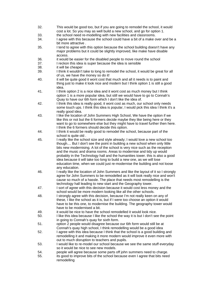- 32. This would be good too, but if you are going to remodel the school, it would cost a lot. So you may as well build a new school, and go for option 1.
- 33. the school need re-modelling with new facilities and classrooms.
- 34. I agree with this because the school could have a bit of a make over and be a bit more attractive .
- 35. I tend to agree with this option because the school building doesn't have any major problems but it could be slightly improved, like make have disable access.
- 36. it would be easier for the disabled people to move round the school
- 37. I reckon this idea is super because the idea is sensible
- 38. it will be cheaper
- 39. I think it wouldn't take to long to remodel the school, it would be great for all of us, we have the money so do it!
- 40. it will be quite good it wont cost that much and all it needs is to paint and thing just to make it look nice and modern but I think option 1 is still a good idea.
- 41. I think option 2 is a nice idea and it wont cost as much money but I think option 1 is a more popular idea, but still we would have to go to Connah's Quay to have our 6th form which I don't like the idea of.
- 42. I think this idea is really good, it wont cost as much, our school only needs some touch ups. I think this idea is popular, I would pick this idea I think it's a really good idea.
- 43. I like the location of John Summers High School, We have the option if we like this or not but the 6 formers decide maybe they like being here or they want to go to somewhere else but they might have to travel further then here. I think the 6 formers should decide this option.
- 44. I think it would be really good to remodel the school, because part of the school is quite old .
- 45. I really like the school size and style already; I would love a new school too though.... But I don't see the point in building a new school when only little bits new modernising. A lot of the school is very nice such as the reception and the music and drama rooms. Areas to modernise and tidy up would probably in the Technology hall and the humanities tower. this is also a good idea because it will take too long to build a new one, as we will lose education time, when we could just re-modernise the building and not loose any education.
- 46. I really like the location of John Summers and like the layout of it so I strongly agree for John Summers to be remodelled as it will look really nice and won't cause so much of a hassle. The place that needs most remodelling is the technology hall leading to new start and the Geography tower.
- 47. I sort of agree with this decision because it would cost less money and the school would be more modern looking like all the other schools.
- 48. I strongly agree with this decision, because I'm not really keen on any of these, I like the school as it is, but if I were too choose an option it would have to be this one, to modernise the building. The geography tower would have to be modernised a bit.
- 49. it would be nice to have the school remodelled it would look nice.
- 50. I like this idea because I like the school the way it is but I don't see the point in going to Connah's quay for sixth form.
- 51. option 2 people would disagree because our 6th form would still be at Connah's quay high school, I think remodelling would be a good idea
- 52. I agree with this idea because I think that the school is a good building and remodelling it and making it more modern would improve it even more with out to much disruption to teachers and pupils.
- 53. I would like to re-model our school because we see the same stuff everyday so it would be nice to see new models.
- 54. people will agree because some parts off john summers need to charge.
- 55. its good to improve bits of the school because even I agree that bits need remodelling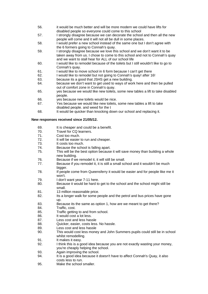- 56. it would be much better and will be more modern we could have lifts for disabled people so everyone could come to this school
- 57. I strongly disagree because we can decorate the school and then all the new people will come and it will not all be dull in some places.
- 58. I would prefer a new school instead of the same one but I don't agree with the 6 formers going to Connah's quay.
- 59. I strongly disagree because we love this school and we don't want it to be taken away from us. I chose to come to this school and not to Connah's quay and we want to stall hear for ALL of our school life
- 60. I would like to remodel because of the toilets but I still wouldn't like to go to Connah's quay.
- 61. I would like to move school in 6 form because I can't get there
- 62. I would like to remodel but not going to Connah's quay! after 16!
- 63. because its a good that JSHS get a new building.
- 64. because we don't want to get used to ways of work here and then be pulled out of comfort zone in Connah's quay.
- 65. yes because we would like new toilets, some new tables a lift to take disabled people.
- 66. yes because new toilets would be nice.
- 67. Yes because we would like new toilets, some new tables a lift to take disabled people. and weed for the t
- 68. It would be quicker than knocking down our school and replacing it.

#### **New responses received since 21/05/12.**

- 69. It is cheaper and could be a benefit.<br>70. Travel for CQ learners.
- Travel for CQ learners.
- 71. Cost too much.
- 72. It will be easier to run and cheaper.
- 73. It costs too much.
- 74. Because the school is falling apart.
- 75. This will be the best option because it will save money than building a whole new building.
- 76. Because if we remodel it, it will still be small.
- 77. Because if you remodel it, it is still a small school and it wouldn't be much bigger.
- 78. If people come from Queensferry it would be easier and for people like me it won't.
- 79. I don't want year 7-11 here.
- 80. Because it would be hard to get to the school and the school might still be small.
- 81. 13 million reasonable price.
- 82. Its a longer walk for some people and the petrol and bus prices have gone up.
- 83. Because its the same as option 1, how are we meant to get there?
- 84. Traffic, cost.
- 85. Traffic getting to and from school.
- 86. It would cost a lot less.
- 87. Less cost and less hassle
- 88. Quicker, easier, costs less. No hassle.
- 89. Less cost and less hassle
- 90. This would cost less money and John Summers pupils could still be in school whilst remodelling.
- 91. It makes it easy.
- 92. I think this is a good idea because you are not exactly wasting your money, you're cheaply helping the school.
- 93. Again improving the school.
- 94. It is a good idea because it doesn't have to affect Connah's Quay, it also costs less to run.
- 95. Make the school smaller.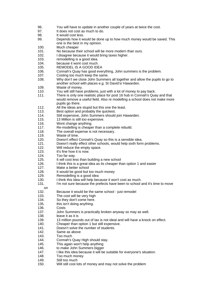- 96. You will have to update in another couple of years at twice the cost.
- 97. It does not cost as much to do.
- 98. It would cost less.
- 99. Depends how it would be done up to how much money would be saved. This one is the best in my opinion.
- 100. Much cheaper
- 101. No because their school will be more modern than ours.
- 102. I disagree because it would bring taxes higher.
- 103. remodelling is a good idea.
- 104. because it wont cost much.
- 105. REMODEL IS A GOOD IDEA
- 106. Connah's Quay has good everything, John summers is the problem.
- 107. Costing too much keep the same.
- 108. Why don't we close John Summers all together and allow the pupils to go to another school with places e.g. St David's/ Hawarden.
- 109. Waste of money.
- 110. You will still have problems, just with a lot of money to pay back.
- 111. There is only one realistic place for post 16 hub in Connah's Quay and that would remove a useful field. Also re modelling a school does not make more pupils go there.
- 112. All the ideas are stupid but this one the least.
- 113. Best option and probably the quickest.
- 114. Still expensive, John Summers should join Hawarden.
- 115. 13 Million is still too expensive.
- 116. Wont change anything.
- 117. Re-modelling is cheaper than a complete rebuild.
- 118. The overall expense is not necessary.
- 119. Waste of time.<br>120 Doesn't effect
- Doesn't effect Connah's Quay so this is a sensible idea.
- 121. Doesn't really effect other schools, would help sixth form problems.
- 122. Will reduce the empty space.
- 123. It's fine how it is now.
- 124. Too far way.
- 125. It will cost less than building a new school
- 126. I think this is a great idea as its cheaper than option 1 and easier
- 127. Make a better school
- 128. It would be good but too much money
- 129. Remodelling is a good idea
- 130. I think this idea will help because it won't cost as much.
- 131. I'm not sure because the prefects have been to school and it's time to move
- on
- 132. Because it would be the same school just remodel
- 133. The cost will be very high
- 134. So they don't come here.
- 135. this isn't doing anything.
- 136. Costs
- 137. John Summers is practically broken anyway so may as well.
- 138. leave it as it is
- 139. 13 million pounds out of tax is not ideal and will have a knock on effect.
- 140. Cheaper than option 1 but still expensive.
- 141. Doesn't solve the number of students.
- 142. Same as above
- 143. Too much
- 144. Connah's Quay High should stay.
- 145. This again won't help anything
- 146. to make John Summers bigger
- 147. I like this idea because it will be suitable for everyone's situation.
- 148. Too much money
- 149. Still too much
- 150. Will still cost lots of money and may not solve the problem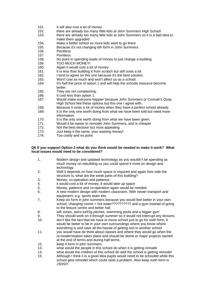- 151. It will also cost a lot of money
- 152. there are already too many little kids at John Summers High School
- 153. there are already too many little kids at John Summers so it is a bad idea to make them upgraded
- 154. Make a better school so more kids want to go there
- 155. Because it's not changing 6th form in John Summers.
- 156. Pointless
- 157. Pointless
- 158. No point in spending loads of money to just change a building
- 159. TOO MUCH MONEY!
- 160. Again it would cost a lot of money.
- 161. It is less than building it from scratch but still costs a lot
- 162. I tend to agree on this one because it's the best solution.
- 163. Won't cost as much and won't affect us as a school.
- 164. It's half the price of option 1 and will help the schools resource become hetter
- 165. They are not complaining.
- 166. It cost less than option 1.
- 167. Would make everyone happier because John Summers or Connah's Quay High School like these options but this one I agree with.
- 168. Because it costs a lot of money when they have a perfect school already.
- 169. It is the only one worth doing from what we have been told but need more information.
- 170. It is the only one worth doing from what we have been given.
- 171. Would it be easier to remodel John Summers, and is cheaper
- 172. Not the best decision but most appealing
- 173. Just keep it the same, your wasting money!
- 174. Too costly and no point

#### **Q6 If you support Option 2 what do you think would be needed to make it work? What local issues would need to be considered?**

- 1. Modern design and updated technology as you wouldn't be spending as much money on rebuilding so you could spend it more on design and technology.
- 2. Well it depends on how much space is required and again how safe the structure is, what are the weak parts of this building?
- 3. Money, co-operation and patience.
- 4. it would cost a lot of money, it would take up space
- 5. Money, patience and co-operation again would be needed.
- 6. A new modern design with modern classroom. With newer transport and equipment, e.g. sports team kits.
- 7. Keep six form in john summers because you would feel better in your own school, changing rooms = hot water???????????????? and a gym instead of going to the leisure centre and better hall
- 8. wifi zones, astro turf/3g pitches, swimming pools and a bigger gym`
- 9. They should work on it through summer so it would not interrupt any lessons.
- 10. don't like the fact that we have to move school just to go for sixth form, it would be better to be in your own surroundings where you know where everything is and save all the hassle of getting lost in another school
- 11. you would have do think about classes and where they would go when the re-modernisation takes place and should be dome or major projects started at the end of terms and during half terms.
- 12. keep 6 form in john summers.
- 13. what would the people in this school do when it is getting remade
- 14. what would the children of this school do well the school is getting remodel
- 15. Although I think it is a good idea pupils would need to be schooled while this school gets remodel which could raise a problem. Also keep sixth form in JSHS!!!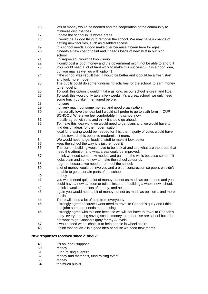getting new facilities, such as disabled access. 19. this school needs a good make over because it been here for ages. 20. it needs a new coat of paint and it needs loads of new stuff in our high school. 21. I disagree so I wouldn't know sorry . 22. it could cost a lot of money and the government might not be able to afford it 23. You would need a lot of hard work to make this successful. It is a good idea, but you may as well go with option 1. 24. if the school was rebuilt then it would be better and it could be a fresh start and look more modern 25. The pupils could do some fundraising activities for the school, to earn money to remodel it. 26. To work this option it wouldn't take as long, as our school is great and little. 27. To work this would only take a few weeks, it's a great school, we only need some touch up like I mentioned before. 28. not sure 29. not very much but some money, and good organisation . 30. I personally love the idea but I would still prefer to go to sixth form in OUR SCHOOL! Where we feel comfortable I my school now. 31. I totally agree with this and think it should go ahead. 32. To make this idea work we would need to get plans and we would have to find design ideas for the modernisation. 33. local fundraising would be needed for this, the majority of votes would have too be towards this option to modernise it more. 34. We would need to get loads of stuff to make it look better 35. keep the school the way it is just remodel it 36. The current building would have to be look at and see what are the areas that need the attention and what areas could be improved. 37. I think we need some new models and paint on the walls because some of it looks plain and some new to make the school colourful. 38. I agreed because we need to remodel the school. 39. a lot of money would be involved and a bit of construction so pupils wouldn't be able to go to certain parts of the school 40. money 41. you would need quite a lot of money but not as much as option one and you could have a new canteen or toilets instead of building a whole new school. 42. I think it would need lots of money, and helpers

16. lots of money would be needed and the cooperation of the community to

18. It would be a good thing to remodel the school. We may have a chance of

minimise disturbances 17. update the school in its worse areas

- 43. again you would need a bit of money but not as much as opinion 1 and more pupils
- 44. There will need a lot of help from everybody.
- 45. I strongly agree because I wont need to travel to Connah's quay and I think that john summers needs modernising
- 46. I strongly agree with this one because we will not have to travel to Connah's quay every morning saving school money to modernise are school but I do not want to go Connah's quay for my A levels
- 47. it would need wheel chair lift to help people in wheel chairs<br>48 I think that option 2 is a good idea because we need new ro
- I think that option 2 is a good idea because we need new rooms

#### **New responses received since 21/05/12.**

- 49. It's an idea I suppose.
- 50. Money
- 51. Fund raising events?
- 52. Money and materials, fund raising event.
- 53. Money
- 54. too much pupils.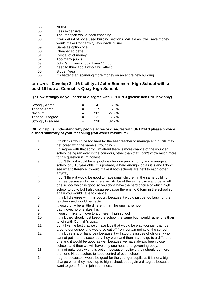- 55. NOISE
- 56. Less expensive.
- 57. The transport would need changing.
- 58. It will get rid of none used building sections. Will aid as it will save money. would make Connah's Quays roads busier.
- 59. Same as option one.
- 60. Cheaper so better!
- 61. Cost a lot of money.
- 62. Too many pupils
- 63. John Summers should have 16 hub.
- 64. need to think about who it will affect
- 65. Bigger Area
- 66. It's better than spending more money on an entire new building.

#### **OPTION 3 – Develop 3 - 16 facility at John Summers High School with a post 16 hub at Connah's Quay High School.**

#### **Q7 How strongly do you agree or disagree with OPTION 3 (please tick ONE box only)**

| <b>Strongly Agree</b>    | $=$ | 41  | 5.5%  |
|--------------------------|-----|-----|-------|
| Tend to Agree            | $=$ | 115 | 15.6% |
| Not sure                 | $=$ | 201 | 27.2% |
| Tend to Disagree         | $=$ | 131 | 17.7% |
| <b>Strongly Disagree</b> | $=$ | 238 | 32.2% |

#### **Q8 To help us understand why people agree or disagree with OPTION 3 please provide a short summary of your reasoning (250 words maximum)**

- 1. I think this would be too hard for the headteacher to manage and pupils may get bored with the same surroundings.
- 2. I disagree with that sorry, I'm afraid there is more chance of the younger school being ran over in the corridors, other than that I don't know much more to this question if I'm honest.
- 3. I don't think it would be a good idea for one person to try and manage a school of 3-16 year olds. It is probably a hard enough job as it is and I don't see what difference it would make if both schools are next to each-other anyway.
- 4. I don't think it would be good to have small children in the same building
- 5. I agree because john summers will still be at the same place and be an all in one school which is good so you don't have the hard choice of which high school to go to but I also disagree cause there is no 6 form in the school so again you would have to change.
- 6. I think I disagree with this option, because it would just be too busy for the teachers and would be hectic.
- 7. It would only be a little different than the original school.
- 8. bad move, no one likes this
- 9. I wouldn't like to move to a different high school
- 10. I think they should just keep the school the same but I would rather this than to join with Connah's quay.
- 11. don't like the fact that we'd have kids that would be way younger than us around our school and would be cut off from certain points of the school
- 12. I think this is a brilliant idea because it will stop the issues of children who cannot get into the secondary they want and then have to go to a different one and it would be good as well because we have always been close schools and then we will have only one head and governing body.
- 13. I'm not quite sure with this option, because I believe their should be more than one Headteacher, to keep control of both schools
- 14. I agree because it would be good for the younger pupils as it is not a big change when they move up to high school. but again a disagree because I want to go to 6 for in john summers.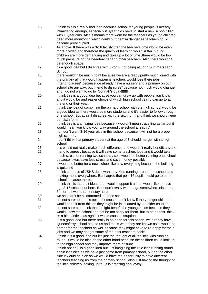- 15. I think this is a really bad idea because school for young people is already intimidating enough, especially if 3year olds have to start a new school filled with 16year olds. Also it means more work for the teachers as young children need more monitoring which could put them in danger as teachers could become preoccupied.
- 16. As above. If there was a 3-16 facility then the teachers time would be even more divided and therefore the quality of learning would suffer. Young children are more demanding and take up a lot of time ,there would be too much pressure on the headteacher and other teachers .Also there wouldn't be enough space.
- 17. its a good idea but I disagree with 6-form not being at John Summers High School.
- 18. there wouldn't be much point because we are already pretty much joined with the primary all that would happen is teachers would lose there jobs
- 19. I "tend to agree" because we already have a nursery and a primary on our school site anyway. but intend to disagree" because not much would change and I do not want to go to Connah's quay!!!!!!!!
- 20. I think this is a good idea because you can grow up with people you know and it would be and easier choice of which high school year 6 can go to at the end or their year.
- 21. I think the idea of combining the primary school with the high school would be a good idea as there would be more students and it's easier to follow through one school. But again I disagree with the sixth form and think we should keep our sixth form.
- 22. I think this is a amazing idea because it wouldn't mean travelling as far but it would mean you know your way around the school already ;)
- 23. no I don't want 3-16 year olds in this school because it will not be a proper high school.
- 24. I don't think that primary student at the age of 3 should merge with a high school
- 25. this would not really make much difference and wouldn't really benefit anyone
- 26. I tend to agree , because it will save some teachers jobs and it would take much stress of running two schools , so it would be better running one school because it was save less stress and save money possibly .
- 27. it would be better for a new school like new everything because the building is quite old
- 28. I think students of JSHS don't want any Kids running around the school and making mess everywhere. But I agree that post 16 pupil should go to other school because there's
- 29. I think this is the best idea, and I would support it a lot. I would like to have age 3-16 school put here. But I don't really want to go somewhere else to do 6th form, I would rather stay here.
- 30. we shouldn't be all crammed into one school
- 31. I'm not sure about this option because I don't know if the younger children would benefit from this as they might be intimidated by the older children.
- 32. I'm not sure but I think that it might benefit the younger kids because they would know the school and not be too scary for them. but to be honest think its a bit pointless as again it would cause disruption
- 33. It is a good idea but there really is no need for this option, we already have Queensferry school next to us and that's what they are known as! it would be harder for the teachers as well because they might have to re-apply for their jobs and we may not get some of the best teachers back!
- 34. I think it is a good idea but it's just the thought of all the little kids running round. it would be nice on the other hand because the children could look up to the high school and may improve there attitude.
- 35. I think option 3 is a good idea but just imagining the little kids running round again isn't nice as we have just come from primary school, but on the other side it would be nice as we would have the opportunity to have different teachers teaching us from the primary school, also just having the thought of the little children looking up to us is amazing and lovely.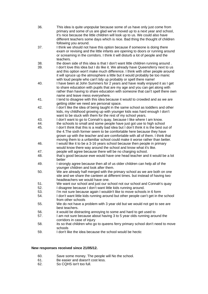36. This idea is quite unpopular because some of us have only just come from primary and some of us are glad we've moved up to a next year and school, it's nice because the little children will look up to us. We could also have different teachers some days which is nice. Bad thing the thought of children following you around. 37. I think we should not have this option because if someone is doing there exam or revising and the little infants are opening to doors or running around or screaming in the corridors. I think it will disturb a lot of people and the teachers. 38. the down side of this idea is that I don't want little children running around . 39. I don't love this idea but I do like it. We already have Queensferry next to us and this option won't make much difference. I think with other people around it will spruce up the atmosphere a little but it would probably be too manic with loud people who can't tidy up probably or spell there name! 40. I have been at John Summers for 2 years and have really enjoyed it as I get to share education with pupils that are my age and you can get along with rather than having to share education with someone that can't spell there own name and leave mess everywhere. 41. I tend to disagree with this idea because it would to crowded and as we are getting older we need are personal space. 42. I don't like the idea of being taught in the same school as toddlers and other kids, my childhood growing up with younger kids was hard enough I don't want to be stuck with them for the rest of my school years. 43. I don't want to go to Connah's quay, because I like where I am know. 44. the schools to small and some people have just got use to high school 45. I don't think that this is a really bad idea but I don't think it is the best out of the 4.The sixth former seem to be comfortable here because they have grown up with the teacher and are comfortable with all of them. I think that moving them to a unfamiliar school could make it worse rather than better. 46. I would like it to be a 3-16 years school because then people in primary would know there way around the school and know what it's like. 47. people will agree because there will be no charging school. 48. that's good because ewe would have one head teacher and it would be a lot better 49. I strongly agree because then all of us older children can help all of the younger children and look after them. 50. We are already half merged with the primary school as we are both on one site and we share the canteen at different times. but instead of having two headteachers we would have one. 51. We want our school and just our school not our school and Connah's quay 52. I disagree because I don't want little kids running around. 53. I'm not sure because again I wouldn't like to move schools in 6 form 54. I don't want little kids running around but other people can't get in the school from other schools 55. We do not have a problem with 3 year old but we would not get to see are best teachers. 56. it would be distracting annoying to some and hard to get used to 57. I am not sure because about having 3 to 5 year olds running around the corridors in case of injury 58. its so that children who go to queens ferry primary school don't need to move schools 59. I don't like the idea because the school would be hectic

#### **New responses received since 21/05/12.**

- 60. Save some money. The people will No the school.
- 61. Be easier and doesn't cost less.
- 62. So CQHS isn't too full.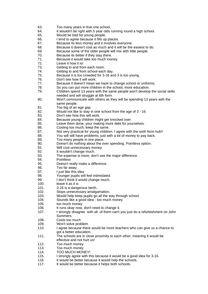- 63. Too many years in that one school.
- 64. It wouldn't be right with 5 year olds running round a high school.
- 65. Would be bad for young people.
- 66. I tend to agree because it fills up places.
- 67. Because its less money and it involves everyone.
- 68. Because it doesn't cost as much and it will be the easiest to do.
- 69. Because some of the older people will mix with little people.
- 70. Because its better if they stay there.
- 71. Because it would take too much money.
- 72. Leave it how it is!
- 73. Getting to and from each room.
- 74. Getting to and from school each day.
- 75. Because it is too crowded for 3-16 and 3 is too young.
- 76. Don't see how it will work.
- 77. Because it doesn't mean we have to change school or uniforms.
- 78. So you can put more children in the school, more education.
- 79. Children spend 13 years with the same people won't develop the social skills needed and will struggle at 6th form.
- 80. Won't communicate with others as they will be spending 13 years with the same people.
- 81. Too big of an age gap.
- 82. Would not like to stay in one school from the age of 3 16.
- 83. Don't see how this will work.
- 84. Because young children might get knocked over.
- 85. Leave them done, your making more debt for yourselves.
- 86. Costing too much, keep the same.
- 87. Not very practical for young children. I agree with the sixth form hub!!
- 88. You will still have problems, just with a lot of money to pay back.<br>89 Too many people in one place
- Too many people in one place.
- 90. Doesn't do nothing about the over spending. Pointless option.
- 91. Will cost unnecessary money.
- 92. It wouldn't change much.
- 93. The expense is more, don't see the major difference.
- 94. Pointless
- 95. Doesn't really make a difference.
- 96. Too far away
- 97. I just like this idea
- 98. Younger pupils will feel intimidated.
- 99. I don't think it would change much.
- 100. leave it as it is
- 101. 3-16 is a dangerous berth.
- 102. Stops unnecessary amalgamation.
- 103. Would help keep pupils go all the way through school
- 104. Sounds like a good idea too much money
- 105. too much money
- 106. It runs okay now, don't need to change it.
- 107. I strongly disagree with all of them can't you just do a refurbishment on John Summers.
- 108. Costs too much
- 109. Won't solve problem
- 110. I agree because there would be more teachers who can give us a chance to got a better education.
- 111. The schools are in close proximity to each other, meaning it would be effective and not hurt us!
- 112. Too much money
- 113. Too much money
- 114. TOO MUCH MONEY!
- 115. I strongly agree with this because it would be a good idea for 3-16.
- 116. It would be better because it would help the schools.
- 117. It would be better because it helps both schools.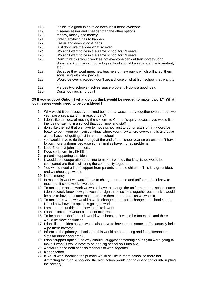- 118. I think its a good thing to do because it helps everyone.
- 119. It seems easier and cheaper than the other options.
- 120. Money, money and money!
- 121. Only if anything has to happen.
- 122. Easier and doesn't cost loads.
- 123. Just don't like the idea what so ever.
- 124. Wouldn't want to be in the same school for 13 years!
- 125. Wouldn't want to be in the same school for 13 years.
- 126. Don't think this would work as not everyone can get transport to John Summers + primary school + high school should be separate due to maturity etc.
- 127. Because they wont meet new teachers or new pupils which will affect them socialising with new people.
- 128. Would be over crowded don't get a choice of what high school they want to go.
- 129. Merges two schools solves space problem. Hub is a good idea.
- 130. Costs too much, no point

#### **Q9 If you support Option 3 what do you think would be needed to make it work? What local issues would need to be considered?**

- 1. Why would it be necessary to blend both primary/secondary together even though we yet have a separate primary/secondary?
- 2. I don't like the idea of moving the six form to Connah's quay because you would like the idea of saying in a school that you know and staff
- 3. don't like the fact that we have to move school just to go for sixth form, it would be better to be in your own surroundings where you know where everything is and save all the hassle of getting lost in another school
- 4. you would have to do the change at the end of the school year so parents don't have to buy more uniforms because some families have money problems.
- 5. keep 6 form at john summers.
- 6. Keep sixth form in JSHS!!!!!
- 7. parents supporting this idea
- 8. it would take cooperation and time to make it would , the local issue would be considered are that it will bring the community together .
- 9. You would need a lot of support from parents, and the children. This is a great idea, and we should go with it.
- 10. lots of money
- 11. to make this work we would have to change our name and uniform I don't know to much but it could work if we tried.
- 12. To make this option work we would have to change the uniform and the school name, I don't exactly know how you would design these schools together but I think it would be nice to have the same main entrance then separate off as we walk in.
- 13. To make this work we would have to change our uniform change our school name, Don't know how this option is going to work.
- 14. I am sure about this one. how to make it work .
- 15. I don't think there would be a lot of difference .
- 16. To be honest I don't think it would work because it would be too manic and there would be more casualties.
- 17. I don't like the idea as you would also have to have recruit some staff to actually help wipe there bottoms.
- 18. Inform all the primary schools that this would be happening and find different time slots for dinner and break.
- 19. I don't support option 3 so why should I suggest something? but if you were going to make it work, it would have to be one big school split into two.
- 20. we would need both schools teachers to work together
- 21. bigger school
- 22. It would work because the primary would still be in there school so there not distracting the high school and the high school would not be distracting or interrupting the primary.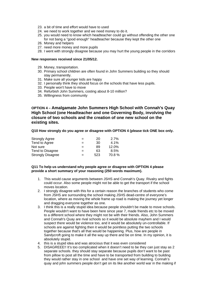- 23. a bit of time and effort would have to used
- 24. we need to work together and we need money to do it.
- 25. you would need to know which headteacher could go without offending the other one for not bang a "good enough" headteacher because they kept the other one
- 26. Money and helpers
- 27. need more money and more pupils
- 28. I went with strongly disagree because you may hurt the young people in the corridors

#### **New responses received since 21/05/12.**

- 29. Money, transportation.
- 30. Primary school children are often found in John Summers building so they should stay permanently.
- 31. Make sure all younger kids are happy
- 32. I personally think they should focus on the schools that have less pupils.
- 33. People won't have to move
- 34. Refurbish John Summers, costing about 8-10 million?
- 35. Willingness from community

#### **OPTION 4 – Amalgamate John Summers High School with Connah's Quay High School (one Headteacher and one Governing Body, involving the closure of two schools and the creation of one new school on the existing sites.**

**Q10 How strongly do you agree or disagree with OPTION 4 (please tick ONE box only.** 

| <b>Strongly Agree</b>    | $=$ | 20  | 2.7%  |
|--------------------------|-----|-----|-------|
| Tend to Agree            | $=$ | 30  | 4.1%  |
| Not sure                 | $=$ | 89  | 12.0% |
| Tend to Disagree         | $=$ | 63  | 8.5%  |
| <b>Strongly Disagree</b> | $=$ | 523 | 70.8% |

#### **Q11 To help us understand why people agree or disagree with OPTION 4 please provide a short summary of your reasoning (250 words maximum).**

- 1. This would cause arguments between JSHS and Connah's Quay. Rivalry and fights could occur. Also some people might not be able to get the transport if the school moves location.
- 2. I strongly disagree with this for a certain reason the branches of students who come from JSHS are surrounding the school making JSHS dead-centre of everyone's location, where as moving the whole frame up road is making the journey yet longer and dragging everyone together as one.
- 3. I think this is a really stupid idea because people shouldn't be made to move schools. People wouldn't want to have been here since year 7, made friends etc to be moved to a different school where they might not be with their friends. Also, John Summers and Connah's Quay are rival schools so it would be absolute mayhem and I would suspect there would be violence too, and it would be absolutely un-controllable. If schools are against fighting then it would be pointless putting the two schools together because that's all that would be happening. Plus, how are people in Sandycroft going to make it all the way up there and be on time. In my opinion, it is absolutely stupid.
- 4. this is a stupid idea and was atrocious that it was even considered
- 5. DISAGREEE!! It's too complicated when it doesn't need to be they can just stay as 2 separate schools. they should stay separate because pupils don't want to be past from pillow to post all the time and have to be transported from building to building they would rather stay in one school and have one set way of learning. Connah's quay and john summers people don't get on its like another world war in the making if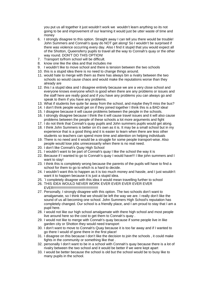you put us all together it just wouldn't work we wouldn't learn anything so its not going to be and improvement of our learning it would just be utter waste of time and money

- 6. I strongly disagree to this option. Straight away I can tell you there would be trouble! John Summers and Connah's quay do NOT get along! So I wouldn't be surprised if there was violence occurring every day. Also I find it stupid that you would expect all of the Shotton, Queensferry pupils to travel all the way to Connah's quay or the other way round. DON'T DO THIS OPTION!
- 7. Transport to/from school will be difficult.
- 8. know one like the idea and that includes me
- 9. I wouldn't like to move school and there is tension between the two schools
- 10. this is a stupid idea there is no need to change things around.
- 11. would hate to merge with them as there has always bin a rivalry between the two schools so would cause chaos and would make the reputations worse than they already are
- 12. this I a stupid idea and I disagree entirely because we are a very close school and everyone knows everyone which is good when there are any problems or issues and the staff here are really good and if you have any problems you can always go and speak to them if you have any problems.
- 13. What if students live quite far away from the school, and maybe they'll miss the bus?
- 14. I don't think people would get on if they joined together I think this is a BAD idea!
- 15. I disagree because it will cause problems between the people in the schools.
- 16. I strongly disagree because I think the it will cause travel issues and it will also cause problems between the people of these schools a lot more arguments and fight
- 17. I do not think that Connah's quay pupils and John summers pupils would get along.
- 18. I think John Summers is better on it's own as it is. It may be a small school but in my experience that is a good thing and it is easier to learn when there are less other students so teachers can spend more time and attention on helping individuals
- 19. There is no need and it would be a struggle for some people transport-wise. Also people would lose jobs unnecessarily when there is no real need.
- 20. I don't like Connah's Quay High School
- 21. I wouldn't want to be part of Connah's quay I like the school the way it is
- 22. Because if I wanted to go to Connah's quay I would have!!! I like john summers and I want to stay!
- 23. I think this is completely wrong because the parents of the pupils will have to find a school for them to go to which is a hard to decide.
- 24. I wouldn't want this to happen as it is too much money and hassle, and I just wouldn't want it to happen because it is just a stupid idea.
- 25. `I completely disagree with this idea it would mean travelling further to school
- 26. THIS IDEA WOULD NEVER WORK EVER EVER EVER EVER EVER EVER!!!!!!!!!!!!!!!!!!!!!!!!!!!!!!!!!!!!!!!!!!!!!!
- 27. Personally, I strongly disagree with this option. The two schools don't want to amalgamate, so I think that we should be left the way we are. I really don't like the sound of us all becoming one school. John Summers High School's reputation has completely changed. Our school is a friendly place, and I am proud to stay that I am a pupil here.
- 28. I would not like our high school amalgamate with there high school and most people live around here so the cost to get them to Connah's quay .
- 29. I would not like to merge with Connah's quay because if some people live in like garden city or Shotton they would need transport
- 30. I don't want to move to Connah's Quay because it is too far away and if I wanted to go there I would of gone there in the first place!
- 31. I disagree on this because I don't like the decision to join the schools , it could make fights in the community or something like that .
- 32. personally I don't want to be in a school with Connah's quay because there is a lot of rivalry between the two school and it would be better if we were kept apart
- 33. I would be better because the school is old but the school would be to busy like to many pupils in the school.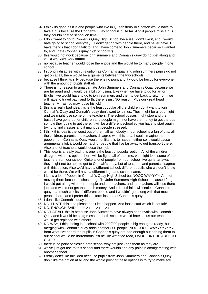- 34. I think its good as it is and people who live in Queensferry or Shotton would have to take a bus because the Connah's Quay school is quite far. And if people miss a bus they couldn't get to school on time.
- 35. I don't want to go to Connah's Quay High School because I don't like it, and I would hate going to school everyday....I don't get on with people there, and never have. I have friends that I don't talk to, and I have come to John Summers because I wanted to, and I hate Connah's quay high school!!! :(
- 36. this would not work because john summers and Connah's quay do not get along and it just wouldn't work !!!!!!!!!!.
- 37. no because teacher would loose there jobs and the would be to many people in one school
- 38. I strongly disagree with this option as Connah's quay and john summers pupils do not get on at all, there would be arguments between the two schools.
- 39. because I think its silly because there is no point and it would be hectic for everyone with the amount of pupils staff etc.
- 40. There is no reason to amalgamate John Summers and Connah's Quay because we are far apart and it would be a bit confusing. Like when we have to go for art or English we would have to go to john summers and then to get back to sixth form we will have to travel back and forth, there is just NO reason! Plus our great head teacher Mr.rashud may loose his job!
- 41. this is a really bad idea this is the least popular all the children don't want to join Connah's Quay and Connah's quay don't want to join us. They might be a lot of fight and we might lose some of the teachers. The school busses might stop and the buses have gone up for children and people might not have the money to get the bus so how they going to get there. it will be a different school so you have to start again trying to find classes and it might get people stressed.
- 42. I think this idea is the worst out of them all as nobody in our school is a fan of this, all the children, parents and teachers disagree with this idea. I could imagine that the people from Connah's Quay would not like this to happen either so it would cause arguments a lot; it would be hard for people that live far away to get transport there. Also a lot of teachers would loose their job.
- 43. This idea is a really bad, this one is the least unpopular option, All of the children disagree with this option, there will be fights all of the time, we might lose some of the teachers from our school. Quite a lot of people from our school live quite far away, they might not be able to get to Connah's quay. Lot of teachers and parents disagree with this option. Also we'd have a different school, different pupils who we don't know would be there, We will have a different logo and school name.
- 44. I know a lot of People in Connah's Quay High School but NOOO WAYYYY! Am not moving there because I chose to go To John Summers High School because I fought I would get along with more people and the teachers, and the teachers will lose there jobs and would not get that much money, And I don't think I will settle in Connah's quay that much coz its all different people and I wouldn't get along with that much people there. and I prefer this uniform instead of Connah's quays
- 45. I don't like Connah's quay .
- 46. NO. I HATE this idea please don't let it happen. And loose staff which is not fair!
- 47. NO, ENOUGH SAID !!!!!!!!! >:( >:( >:(
- 48. NOT AT ALL this is because John Summers have always been rivals with Connah's Quay and it would be a big mess and both schools would hate it plus our teachers would get replaced with others.
- 49. NO WAY, I think being in a school with 200/300 people is big enough already, but merging with Connah's quay adds another 800 people, NOOOOOO WAYYYYYYYY, from what I've heard the pupils in Connah's quay are bad enough but adding them to our school would be horrendous, it'd be like waterloo road, I WOULDNT BE ABLE TO COPE!
- 50. there is no point of closing both school why not just keep them as they are.
- 51. we've just got use to this school and there wouldn't be any point in amalgamating with another school
- 52. I really don't like this idea because pupils from John Summers and Connah's Quay don't like the option at all and the whole point of these options is to try to make are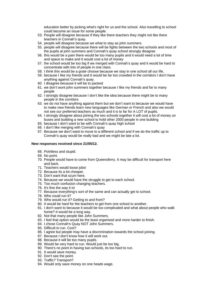education better by picking what's right for us and the school. Also travelling to school could become an issue for some people.

- 53. People will disagree because if they like there teachers they might not like there teachers in Connah's quay.
- 54. people will disagree because we what to stay as john summers.
- 55. people will disagree because there will be fights between the two schools and most of the pupils at john summers and Connah's quay school strongly disagree
- 56. this would be a pain there would be too many pupils and it would need a lot of time and space to make and it would cost a lot of money
- 57. the school would be too big if we merged with Connah's quay and it would be hard to concentrate with lots of people in one class.
- 58. I think this would be a grate choose because we stay in one school all our life,
- 59. because I like my friends and it would be far too crowded in the corridors I don't have anything against Connah's quay.
- 60. I disagree because it will be to packed
- 61. we don't wont john summers together because I like my friends and far to many people
- 62. I strongly disagree because I don't like the idea because there might be to many people in the corridors
- 63. we do not have anything against them but we don't want to because we would have to make new friends learn new languages like German or French and also we would not see our preferred teachers as much and it is to far for A LOT of pupils.
- 64. I strongly disagree about joining the two schools together it will cost a lot of money on buses and building a new school to hold other 2000 people in one building
- 65. because I don't want to be with Connah's quay high school
- 66. I don't like merging with Connah's quay
- 67. Because we don't want to move to a different school and if we do the traffic up to Connah's quay would be really bad and we might be late a lot.

#### **New responses received since 21/05/12.**

- 68. Pointless and stupid.
- 69. No point.
- 70. People would have to come from Queensferry. It may be difficult for transport here and back.
- 71. Teachers would loose jobs!
- 72. Because its a lot cheaper.
- 73. Don't want that scum here.
- 74. Because we would have the struggle to get to each school.
- 75. Too much confusion changing teachers.
- 76. It's fine the way it is!
- 77. Because everything's sort of the same and can actually get to school.
- 78. Who could run it?
- 79. Who would run it? Getting to and from?
- 80. It would be hard for the teachers to get from one school to another.
- 81. I don't want to because it would be too complicated and what about people who walk home? It would be a long way.
- 82. Not that many people like John Summers.
- 83. I feel that option would be the least organised and more harder to finish.
- 84. I chose Connah's Quay NOT John Summers.
- 85. Difficult to run. Cost?
- 86. I agree but people may have a discrimination towards the school joining.
- 87. Because I don't know how it will work out.
- 88. Because it will be too many pupils.
- 89. Would be very hard to run. Would just be too big.
- 90. There's no point in having two schools, its too hard to run.
- 91. It would save money.
- 92. Don't see the point.
- 93. Traffic? Transport?
- 94. Would only save money on one heads wage.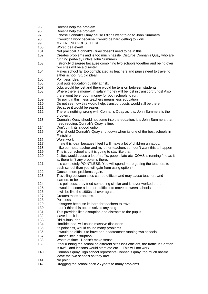- 95. Doesn't help the problem.
- 96. Doesn't help the problem
- 97. I chose Connah's Quay cause I didn't want to go to John Summers.
- 98. It wouldn't work because it would be hard getting to work.
- 99. MY FRIEND GOES THERE.
- 100. Worst Idea ever!!
- 101. Not practical. Connah's Quay doesn't need to be in this.
- 102. Creates problems and is too much hassle. Disturbs Connah's Quay who are running perfectly unlike John Summers.
- 103. I strongly disagree because combining two schools together and being over two sites will be a disaster.
- 104. Makes school far too complicated as teachers and pupils need to travel to either school. Stupid idea!
- 105. Pointless Idea.
- 106. Just puts education quality at risk.
- 107. Jobs would be lost and there would be tension between students.
- 108. Where there is money, in salary money will be lost in transport funds! Also there wont be enough money for both schools to run.
- 109. No point in this , less teachers means less education
- 110. Do not see how this would help, transport costs would still be there.
- 111. Because it would be easier.
- 112. There is nothing wrong with Connah's Quay as it is. John Summers is the problem.
- 113. Connah's Quay should not come into the equation; it is John Summers that need redoing. Connah's Quay is fine.
- 114. Don't think its a good option.
- 115. Why should Connah's Quay shut down when its one of the best schools in **Flintshire**
- 116. Won't work
- 117. I hate this idea because I feel I will make a lot of children unhappy.
- 118. I like our headteacher and my other teachers so I don't want this to happen
- 119. This is our school and it is going to stay like that.
- 120. 2 sites would cause a lot of traffic, people late etc. CQHS is running fine as it is, there isn't any problems there.
- 121. It is completely POINTLESS. You will spend more getting the teachers to each school than you will gain from using option 4.
- 122. Causes more problems again.
- 123. Travelling between sites can be difficult and may cause teachers and learners to be late.
- 124. It is pointless, they tried something similar and it never worked then.
- 125. It would become a lot more difficult to move between schools.
- 126. It will be like the 1980s all over again.
- 127. Creates more problems.
- 128. Pointless.
- 129. I disagree because its hard for teachers to travel.
- 130. I don't think this option solves anything.
- 131. This provides little disruption and distracts to the pupils.
- 132. leave it as it is
- 133. Ridiculous Idea
- 134. Horrible idea, will cause massive disruption.
- 135. Its pointless, would cause many problems
- 136. It would be difficult to have one headteacher running two schools.
- 137. Causes little disruption
- 138. Waste of time Doesn't make sense
- 139. I feel running the school on different sites isn't efficient, the traffic in Shotton is awful and lessons would start late etc ... This will not work.
- 140. Connah's quay High school represents Connah's quay, too much hassle. leave the two schools as they are!
- 141. No point
- 142. Dragging the school back 25 years to many problems.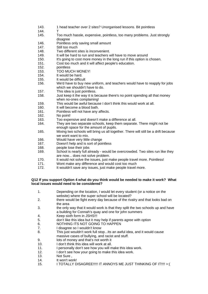- 143. 1 head teacher over 2 sites? Unorganised lessons. Bit pointless
- 144. T
- 145. Too much hassle, expensive, pointless, too many problems. Just strongly disagree
- 146. Pointless only saving small amount
- 147. Still too much
- 148. Two different sites is inconvenient.
- 149. It will be hard to run and teachers will have to move around
- 150. It's going to cost more money in the long run if this option is chosen.
- 151. Cost too much and it will affect people's education.
- 152. pointless
- 153. TOO MUCH MONEY!
- 154. It would be hard.
- 155. It would be difficult
- 156. We'd have to buy new uniform, and teachers would have to reapply for jobs which we shouldn't have to do.
- 157. This idea is just pointless.
- 158. Just keep it the way it is because there's no point spending all that money when no-ones complaining!
- 159. This would be awful because I don't think this would work at all.
- 160. It will become a blood bath.
- 161. Pointless will not have any affects.
- 162. No point!
- 163. Too expensive and doesn't make a difference at all.
- 164. They are two separate schools, keep them separate. There might not be enough space for the amount of pupils.
- 165. Mixing two schools will bring us all together. There will still be a drift because we wont want to mix.
- 166. Would have very little change
- 167. Doesn't help and is sort of pointless
- 168. people lose their jobs
- 169. School is nearly full already would be overcrowded. Two sites run like they are now... does not solve problem.
- 170. It would not solve the issues, just make people travel more. Pointless!
- 171. Wont make any difference and would cost too much
- 172. It wouldn't save any issues, just make people travel more.

#### **Q12 If you support Option 4 what do you think would be needed to make it work? What local issues would need to be considered?**

- 1. Depending on the location, I would let every student (or a notice on the website) where the super school will be located?
- 2. there would be fight every day because of the rivalry and that looks bad on the area
- 3. the only way that it would work is that they split the two schools up and have a building for Connah's quay and one for john summers
- 4. Keep sixth form in JSHS!!!
- 5. don't like this idea but it may help if parents agree with option
- 6. NOTHING ITS NOT GOING TO HAPPEN
- 7. I disagree so I wouldn't know
- 8. This just wouldn't work full stop...Its an awful idea, and it would cause massive cases of bullying, and racist and stuff.
- 9. lots of money and that's not worth it
- 10. I don't think this idea will work at all.
- 11. I personally don't see how you will make this idea work.
- 12. I don't see how your going to make this idea work.
- 13. Not Sure ,
- 14. It won't work!
- 15. I TOTALLY DISAGREE!!!!! IT ANNOYS ME JUST THINKING OF IT!!!! >:(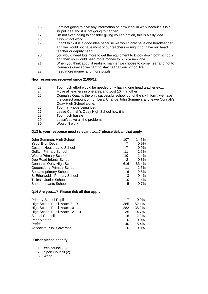- 16. I am not going to give any information on how it could work because it is a stupid idea and it is not going to happen.
- 17. I'm not even going to consider giving you an option, this is a silly idea.
- 18. it would not work
- 19. I don't think it is a good idea because we would only have one headteacher and we would not have most of our teachers or might not have our head teacher or deputy head.
- 20. you would need lots more to get the equipment to knock down both schools and then you would need more money to build a new one.
- 21. When you think about it realistic manner we choose to come hear and not to Connah's quay so we cant to stay hear all our school life
- 22. need more money and more pupils

#### **New responses received since 21/05/12.**

- 23. Too much effort would be needed only having one head teacher etc...
- 24. Move all learners in one area and post 16 in another.
- 25. Connah's Quay is the only successful school out of the sixth form; we have the correct amount of numbers. Change John Summers and leave Connah's Quay High School alone.
- 26. Too many jobs being lost.
- 27. Leave Connah's Quay High School how it is.
- 28. Too much hassle
- 29. doesn't solve all the problems
- 30. Wouldn't work.

#### **Q13 Is your response most relevant to....? please tick all that apply**

| John Summers High School        | 107 | 14.5% |
|---------------------------------|-----|-------|
| Ysgol Bryn Deva                 | 7   | 0.9%  |
| <b>Custom House Lane School</b> |     | 0.9%  |
| <b>Golftyn Primary School</b>   | 11  | 1.5%  |
| <b>Wepre Primary School</b>     | 10  | 1.4%  |
| Dee Road Infants School         | 2   | 0.3%  |
| Connah's Quay High School       | 616 | 83.4% |
| Queensferry Primary School      | 11  | 1.5%  |
| Sealand primary School          | 6   | 0.8%  |
| St Ethelwold's Primary School   | 3   | 0.4%  |
| <b>Taliesin Junior School</b>   | 10  | 1.4%  |
| <b>Shotton Infants School</b>   | 5   | 0.7%  |
|                                 |     |       |

#### **Q14 Are you....? Please tick all that apply**

|          | 0.9%    |
|----------|---------|
| 385      | 52.1%   |
| 282      | 38.2%   |
| 35       | 4.7%    |
| 16       | 2.2%    |
| $\Omega$ | $0.0\%$ |
| 40       | 5.4%    |
|          | $0.0\%$ |
|          |         |

#### **Other please specify**

- 1. eco council (3)
- 2. Sport Council (2)
- 3. weed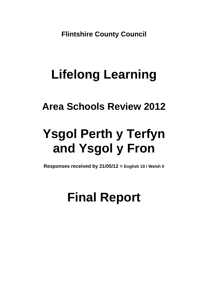**Flintshire County Council** 

## **Lifelong Learning**

### **Area Schools Review 2012**

# **Ysgol Perth y Terfyn and Ysgol y Fron**

**Responses received by 21/05/12 = English 10 / Welsh 0**

## **Final Report**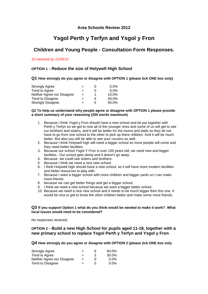#### **Area Schools Review 2012**

### **Ysgol Perth y Terfyn and Ysgol y Fron**

### **Children and Young People - Consultation Form Responses.**

#### *10 received by 21/05/12*

#### **OPTION 1 – Reduce the size of Holywell High School**

#### **Q1 How strongly do you agree or disagree with OPTION 1 (please tick ONE box only)**

| <b>Strongly Agree</b>      | $=$ |   | $0.0\%$ |
|----------------------------|-----|---|---------|
| Tend to Agree              | $=$ |   | $0.0\%$ |
| Neither Agree nor Disagree | $=$ |   | 10.0%   |
| Tend to Disagree           | $=$ | 4 | 40.0%   |
| <b>Strongly Disagree</b>   | $=$ | 5 | 50.0%   |

#### **Q2 To help us understand why people agree or disagree with OPTION 1 please provide a short summary of your reasoning (250 words maximum)**

- 1. Because I think Ysgol y Fron should have a new school and be put together with Perth y Terfyn so we get to now all of the younger ones and some of us will get to see our brothers and sisters, and it will be better for the mums and dads so they do not have to go from one school to the other to pick up there children. And it will be much better. But also you will be able to see your cousins as well.
- 2. Because I think Holywell high will need a bigger school so more people will come and they need better facilities.
- 3. Because our school Ysgol Y Fron is over 100 years old, we need new and bigger facilities. Our school gets damp and it doesn't go away.
- 4. Because we could see sisters and brothers.
- 5. Because I think we need a nice new school.
- 6. I think Holywell high should have a new school, so it will have more modern facilities and better resources to play with.
- 7. Because I want a bigger school with more children and bigger yards so I can make more friends.
- 8. because we can get better things and get a bigger school.
- 9. I think we need a new school because we want a bigger better school.
- 10. Because we need a nice new school and it needs to be much bigger then this one. It would be nice to get to know the other children better and make some more friends.

#### **Q3 If you support Option 1 what do you think would be needed to make it work? What local issues would need to be considered?**

No responses received.

#### **OPTION 2 – Build a new High School for pupils aged 11-18, together with a new primary school to replace Ysgol Perth y Terfyn and Ysgol y Fron**

#### **Q4 How strongly do you agree or disagree with OPTION 2 (please tick ONE box only**

| <b>Strongly Agree</b>      | $=$ | 6            | 60.0%   |
|----------------------------|-----|--------------|---------|
| Tend to Agree              | $=$ | 3            | 30.0%   |
| Neither Agree nor Disagree | $=$ | $\mathbf{0}$ | $0.0\%$ |
| Tend to Disagree           | $=$ | $\mathbf{U}$ | $0.0\%$ |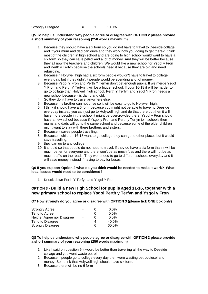$Strongly Disagree$   $=$  1 10.0%

#### **Q5 To help us understand why people agree or disagree with OPTION 2 please provide a short summary of your reasoning (250 words maximum)**

- 1. Because they should have a six form so you do not have to travel to Deeside collage and if your mum and dad can drive and they work how you going to get there? I think most of the children in high school and are going to high school would want to have a six form so they can save petrol and a lot of money. And they will be better because they all now the teachers and children. We would like a new school for Ysgol y Fron and Perth y Terfyn because the schools need it because they are old and need rebuilding.
- 2. Because if Holywell high had a six form people wouldn't have to travel to college every day. but if they didn't it people would be spending a lot of money.
- 3. Because Ysgol Y Fron and Perth Y Terfyn don't get enough pupils. If we merge Ysgol Y Fron and Perth Y Terfyn it will be a bigger school. If your 16-18 it will be harder to go to collage than Holywell high school. Perth Y Terfyn and Ysgol Y Fron needs a new school because it is damp and old.
- 4. So they don't have to travel anywhere else.
- 5. Because my brother can not drive so it will be easy to go to Holywell high.
- 6. I think it should have a 6 form because you might not be able to travel to Deeside everyday instead you can just go to Holywell high and do that there but then it will have more people in the school it might be overcrowded there. Ysgol y Fron should have a new school because if Ysgol y Fron and Perth y Terfyn join schools then mums and dads will go to the same school and because some of the older children might want to stay with there brothers and sisters.
- 7. Because it saves people travelling.
- 8. Because if children 16-18 want to go college they can go to other places but it would save travelling.
- 9. they can go to any college.
- 10. It should so that people do not need to travel. If they do have a six form than it will be much better for everyone and there won't be as much fuss and there will not be as much traffic on the roads. They wont need to go to different schools everyday and it will save money instead if having to pay for buses.

#### **Q6 If you support Option 2 what do you think would be needed to make it work? What local issues would need to be considered?**

1. Knock down Perth Y Terfyn and Ysgol Y Fron

#### **OPTION 3 - Build a new High School for pupils aged 11-16, together with a new primary school to replace Ysgol Perth y Terfyn and Ysgol y Fron**

**Q7 How strongly do you agree or disagree with OPTION 3 (please tick ONE box only)** 

| <b>Strongly Agree</b>      | $=$ |   | $0.0\%$ |
|----------------------------|-----|---|---------|
| Tend to Agree              | $=$ |   | $0.0\%$ |
| Neither Agree nor Disagree | $=$ |   | $0.0\%$ |
| Tend to Disagree           | $=$ |   | 40.0%   |
| <b>Strongly Disagree</b>   | $=$ | 6 | 60.0%   |

#### **Q8 To help us understand why people agree or disagree with OPTION 3 please provide a short summary of your reasoning (250 words maximum)**

- 1. Like I said on question 5 it would be better than travelling all the way to Deeside collage and you wont waste petrol.
- 2. Because if people go to college every day then were wasting petrol/diesel and money. So I think that Holywell high should have six form.
- 3. Because there will be no 6 form